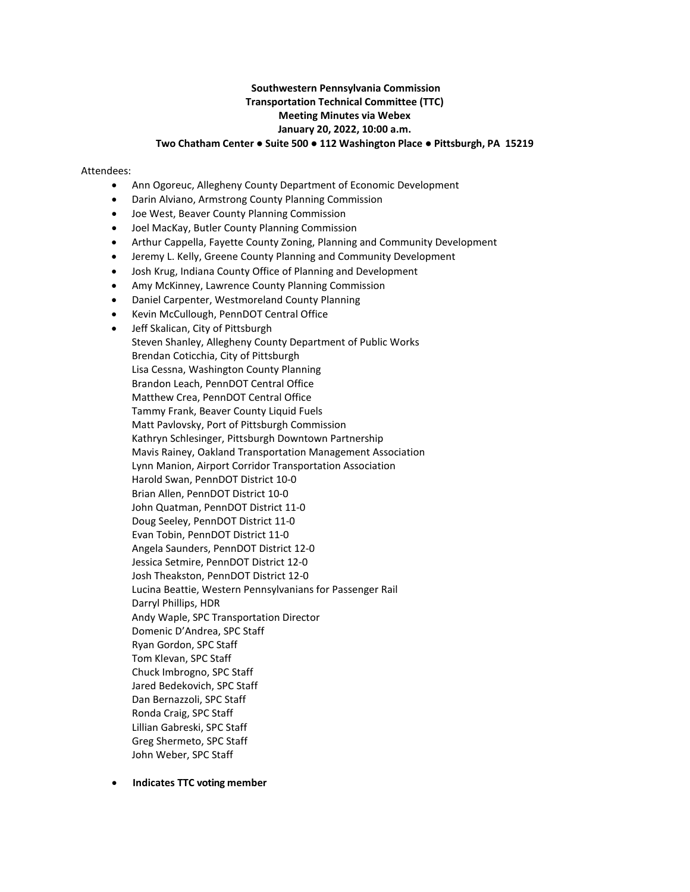# **Southwestern Pennsylvania Commission Transportation Technical Committee (TTC) Meeting Minutes via Webex January 20, 2022, 10:00 a.m. Two Chatham Center ● Suite 500 ● 112 Washington Place ● Pittsburgh, PA 15219**

#### Attendees:

- Ann Ogoreuc, Allegheny County Department of Economic Development
- Darin Alviano, Armstrong County Planning Commission
- Joe West, Beaver County Planning Commission
- Joel MacKay, Butler County Planning Commission
- Arthur Cappella, Fayette County Zoning, Planning and Community Development
- Jeremy L. Kelly, Greene County Planning and Community Development
- Josh Krug, Indiana County Office of Planning and Development
- Amy McKinney, Lawrence County Planning Commission
- Daniel Carpenter, Westmoreland County Planning
- Kevin McCullough, PennDOT Central Office
- Jeff Skalican, City of Pittsburgh

Steven Shanley, Allegheny County Department of Public Works Brendan Coticchia, City of Pittsburgh Lisa Cessna, Washington County Planning Brandon Leach, PennDOT Central Office Matthew Crea, PennDOT Central Office Tammy Frank, Beaver County Liquid Fuels Matt Pavlovsky, Port of Pittsburgh Commission Kathryn Schlesinger, Pittsburgh Downtown Partnership Mavis Rainey, Oakland Transportation Management Association Lynn Manion, Airport Corridor Transportation Association Harold Swan, PennDOT District 10-0 Brian Allen, PennDOT District 10-0 John Quatman, PennDOT District 11-0 Doug Seeley, PennDOT District 11-0 Evan Tobin, PennDOT District 11-0 Angela Saunders, PennDOT District 12-0 Jessica Setmire, PennDOT District 12-0 Josh Theakston, PennDOT District 12-0 Lucina Beattie, Western Pennsylvanians for Passenger Rail Darryl Phillips, HDR Andy Waple, SPC Transportation Director Domenic D'Andrea, SPC Staff Ryan Gordon, SPC Staff Tom Klevan, SPC Staff Chuck Imbrogno, SPC Staff Jared Bedekovich, SPC Staff Dan Bernazzoli, SPC Staff Ronda Craig, SPC Staff Lillian Gabreski, SPC Staff Greg Shermeto, SPC Staff John Weber, SPC Staff

• **Indicates TTC voting member**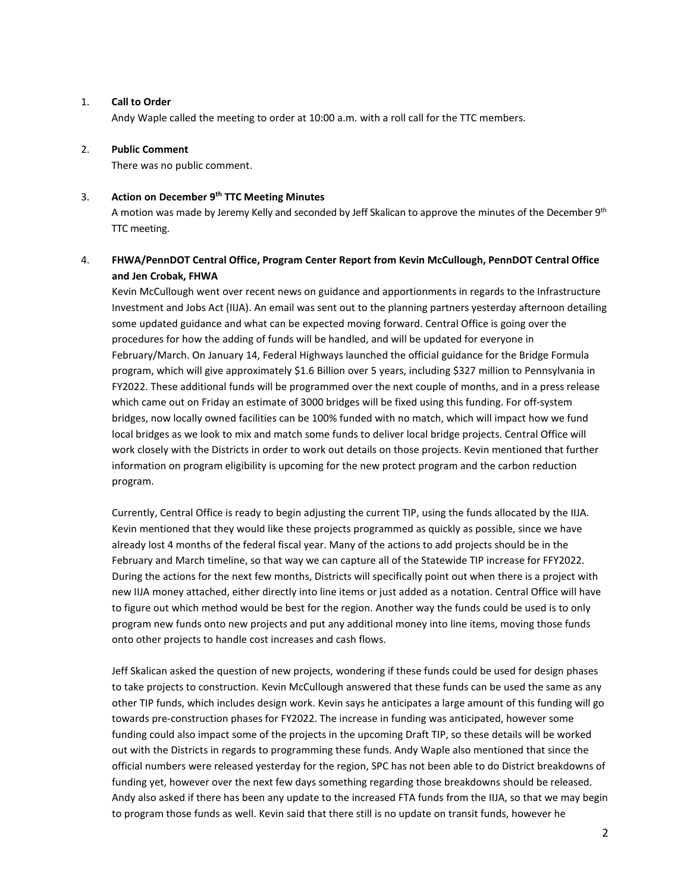# 1. **Call to Order**

Andy Waple called the meeting to order at 10:00 a.m. with a roll call for the TTC members.

## 2. **Public Comment**

There was no public comment.

## 3. **Action on December 9th TTC Meeting Minutes**

A motion was made by Jeremy Kelly and seconded by Jeff Skalican to approve the minutes of the December 9th TTC meeting.

# 4. **FHWA/PennDOT Central Office, Program Center Report from Kevin McCullough, PennDOT Central Office and Jen Crobak, FHWA**

Kevin McCullough went over recent news on guidance and apportionments in regards to the Infrastructure Investment and Jobs Act (IIJA). An email was sent out to the planning partners yesterday afternoon detailing some updated guidance and what can be expected moving forward. Central Office is going over the procedures for how the adding of funds will be handled, and will be updated for everyone in February/March. On January 14, Federal Highways launched the official guidance for the Bridge Formula program, which will give approximately \$1.6 Billion over 5 years, including \$327 million to Pennsylvania in FY2022. These additional funds will be programmed over the next couple of months, and in a press release which came out on Friday an estimate of 3000 bridges will be fixed using this funding. For off-system bridges, now locally owned facilities can be 100% funded with no match, which will impact how we fund local bridges as we look to mix and match some funds to deliver local bridge projects. Central Office will work closely with the Districts in order to work out details on those projects. Kevin mentioned that further information on program eligibility is upcoming for the new protect program and the carbon reduction program.

Currently, Central Office is ready to begin adjusting the current TIP, using the funds allocated by the IIJA. Kevin mentioned that they would like these projects programmed as quickly as possible, since we have already lost 4 months of the federal fiscal year. Many of the actions to add projects should be in the February and March timeline, so that way we can capture all of the Statewide TIP increase for FFY2022. During the actions for the next few months, Districts will specifically point out when there is a project with new IIJA money attached, either directly into line items or just added as a notation. Central Office will have to figure out which method would be best for the region. Another way the funds could be used is to only program new funds onto new projects and put any additional money into line items, moving those funds onto other projects to handle cost increases and cash flows.

Jeff Skalican asked the question of new projects, wondering if these funds could be used for design phases to take projects to construction. Kevin McCullough answered that these funds can be used the same as any other TIP funds, which includes design work. Kevin says he anticipates a large amount of this funding will go towards pre-construction phases for FY2022. The increase in funding was anticipated, however some funding could also impact some of the projects in the upcoming Draft TIP, so these details will be worked out with the Districts in regards to programming these funds. Andy Waple also mentioned that since the official numbers were released yesterday for the region, SPC has not been able to do District breakdowns of funding yet, however over the next few days something regarding those breakdowns should be released. Andy also asked if there has been any update to the increased FTA funds from the IIJA, so that we may begin to program those funds as well. Kevin said that there still is no update on transit funds, however he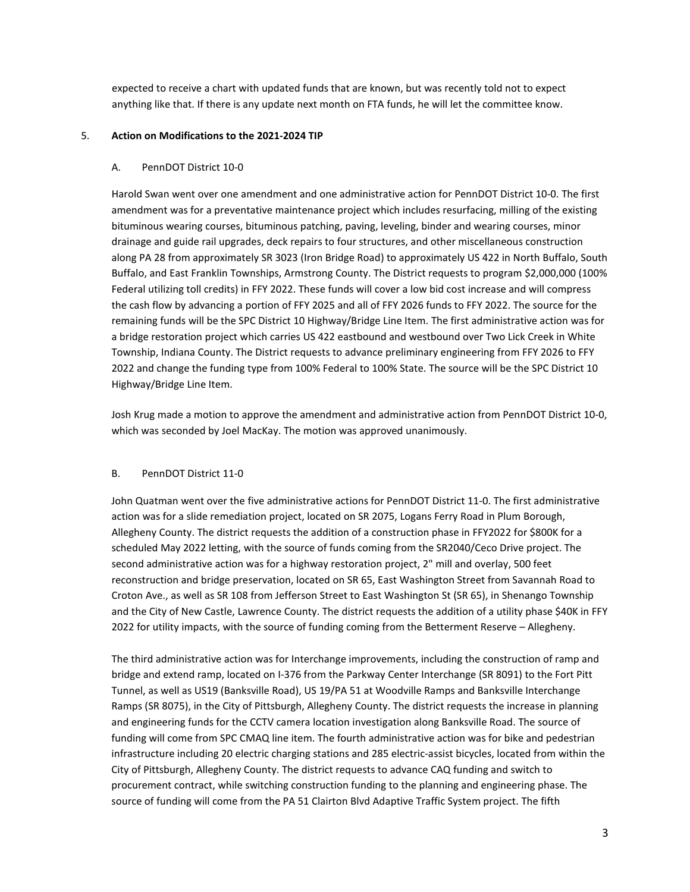expected to receive a chart with updated funds that are known, but was recently told not to expect anything like that. If there is any update next month on FTA funds, he will let the committee know.

### 5. **Action on Modifications to the 2021-2024 TIP**

## A. PennDOT District 10-0

Harold Swan went over one amendment and one administrative action for PennDOT District 10-0. The first amendment was for a preventative maintenance project which includes resurfacing, milling of the existing bituminous wearing courses, bituminous patching, paving, leveling, binder and wearing courses, minor drainage and guide rail upgrades, deck repairs to four structures, and other miscellaneous construction along PA 28 from approximately SR 3023 (Iron Bridge Road) to approximately US 422 in North Buffalo, South Buffalo, and East Franklin Townships, Armstrong County. The District requests to program \$2,000,000 (100% Federal utilizing toll credits) in FFY 2022. These funds will cover a low bid cost increase and will compress the cash flow by advancing a portion of FFY 2025 and all of FFY 2026 funds to FFY 2022. The source for the remaining funds will be the SPC District 10 Highway/Bridge Line Item. The first administrative action was for a bridge restoration project which carries US 422 eastbound and westbound over Two Lick Creek in White Township, Indiana County. The District requests to advance preliminary engineering from FFY 2026 to FFY 2022 and change the funding type from 100% Federal to 100% State. The source will be the SPC District 10 Highway/Bridge Line Item.

Josh Krug made a motion to approve the amendment and administrative action from PennDOT District 10-0, which was seconded by Joel MacKay. The motion was approved unanimously.

# B. PennDOT District 11-0

John Quatman went over the five administrative actions for PennDOT District 11-0. The first administrative action was for a slide remediation project, located on SR 2075, Logans Ferry Road in Plum Borough, Allegheny County. The district requests the addition of a construction phase in FFY2022 for \$800K for a scheduled May 2022 letting, with the source of funds coming from the SR2040/Ceco Drive project. The second administrative action was for a highway restoration project, 2" mill and overlay, 500 feet reconstruction and bridge preservation, located on SR 65, East Washington Street from Savannah Road to Croton Ave., as well as SR 108 from Jefferson Street to East Washington St (SR 65), in Shenango Township and the City of New Castle, Lawrence County. The district requests the addition of a utility phase \$40K in FFY 2022 for utility impacts, with the source of funding coming from the Betterment Reserve – Allegheny.

The third administrative action was for Interchange improvements, including the construction of ramp and bridge and extend ramp, located on I-376 from the Parkway Center Interchange (SR 8091) to the Fort Pitt Tunnel, as well as US19 (Banksville Road), US 19/PA 51 at Woodville Ramps and Banksville Interchange Ramps (SR 8075), in the City of Pittsburgh, Allegheny County. The district requests the increase in planning and engineering funds for the CCTV camera location investigation along Banksville Road. The source of funding will come from SPC CMAQ line item. The fourth administrative action was for bike and pedestrian infrastructure including 20 electric charging stations and 285 electric-assist bicycles, located from within the City of Pittsburgh, Allegheny County. The district requests to advance CAQ funding and switch to procurement contract, while switching construction funding to the planning and engineering phase. The source of funding will come from the PA 51 Clairton Blvd Adaptive Traffic System project. The fifth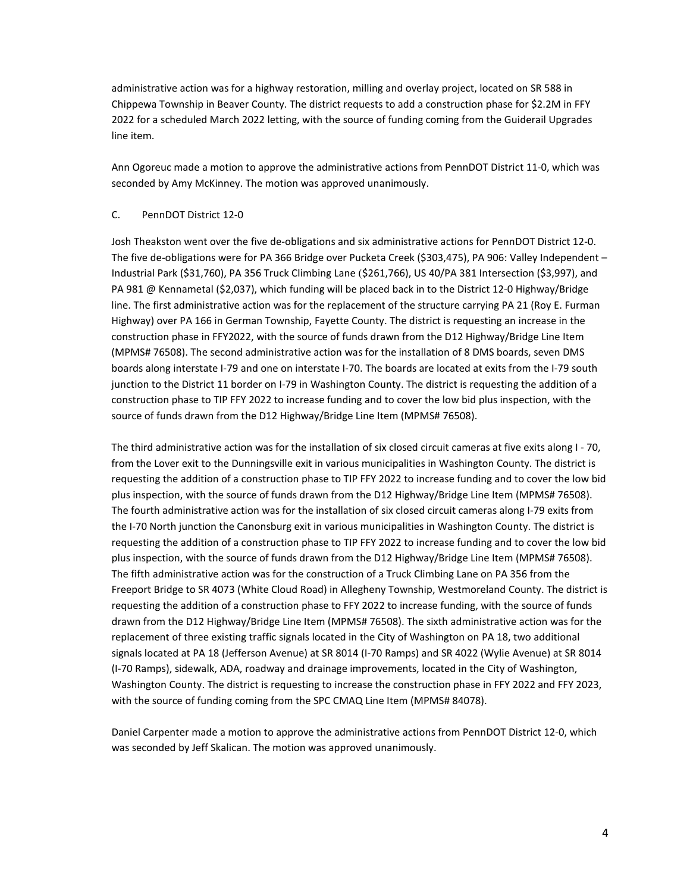administrative action was for a highway restoration, milling and overlay project, located on SR 588 in Chippewa Township in Beaver County. The district requests to add a construction phase for \$2.2M in FFY 2022 for a scheduled March 2022 letting, with the source of funding coming from the Guiderail Upgrades line item.

Ann Ogoreuc made a motion to approve the administrative actions from PennDOT District 11-0, which was seconded by Amy McKinney. The motion was approved unanimously.

# C. PennDOT District 12-0

Josh Theakston went over the five de-obligations and six administrative actions for PennDOT District 12-0. The five de-obligations were for PA 366 Bridge over Pucketa Creek (\$303,475), PA 906: Valley Independent – Industrial Park (\$31,760), PA 356 Truck Climbing Lane (\$261,766), US 40/PA 381 Intersection (\$3,997), and PA 981 @ Kennametal (\$2,037), which funding will be placed back in to the District 12-0 Highway/Bridge line. The first administrative action was for the replacement of the structure carrying PA 21 (Roy E. Furman Highway) over PA 166 in German Township, Fayette County. The district is requesting an increase in the construction phase in FFY2022, with the source of funds drawn from the D12 Highway/Bridge Line Item (MPMS# 76508). The second administrative action was for the installation of 8 DMS boards, seven DMS boards along interstate I-79 and one on interstate I-70. The boards are located at exits from the I-79 south junction to the District 11 border on I-79 in Washington County. The district is requesting the addition of a construction phase to TIP FFY 2022 to increase funding and to cover the low bid plus inspection, with the source of funds drawn from the D12 Highway/Bridge Line Item (MPMS# 76508).

The third administrative action was for the installation of six closed circuit cameras at five exits along I - 70, from the Lover exit to the Dunningsville exit in various municipalities in Washington County. The district is requesting the addition of a construction phase to TIP FFY 2022 to increase funding and to cover the low bid plus inspection, with the source of funds drawn from the D12 Highway/Bridge Line Item (MPMS# 76508). The fourth administrative action was for the installation of six closed circuit cameras along I-79 exits from the I-70 North junction the Canonsburg exit in various municipalities in Washington County. The district is requesting the addition of a construction phase to TIP FFY 2022 to increase funding and to cover the low bid plus inspection, with the source of funds drawn from the D12 Highway/Bridge Line Item (MPMS# 76508). The fifth administrative action was for the construction of a Truck Climbing Lane on PA 356 from the Freeport Bridge to SR 4073 (White Cloud Road) in Allegheny Township, Westmoreland County. The district is requesting the addition of a construction phase to FFY 2022 to increase funding, with the source of funds drawn from the D12 Highway/Bridge Line Item (MPMS# 76508). The sixth administrative action was for the replacement of three existing traffic signals located in the City of Washington on PA 18, two additional signals located at PA 18 (Jefferson Avenue) at SR 8014 (I-70 Ramps) and SR 4022 (Wylie Avenue) at SR 8014 (I-70 Ramps), sidewalk, ADA, roadway and drainage improvements, located in the City of Washington, Washington County. The district is requesting to increase the construction phase in FFY 2022 and FFY 2023, with the source of funding coming from the SPC CMAQ Line Item (MPMS# 84078).

Daniel Carpenter made a motion to approve the administrative actions from PennDOT District 12-0, which was seconded by Jeff Skalican. The motion was approved unanimously.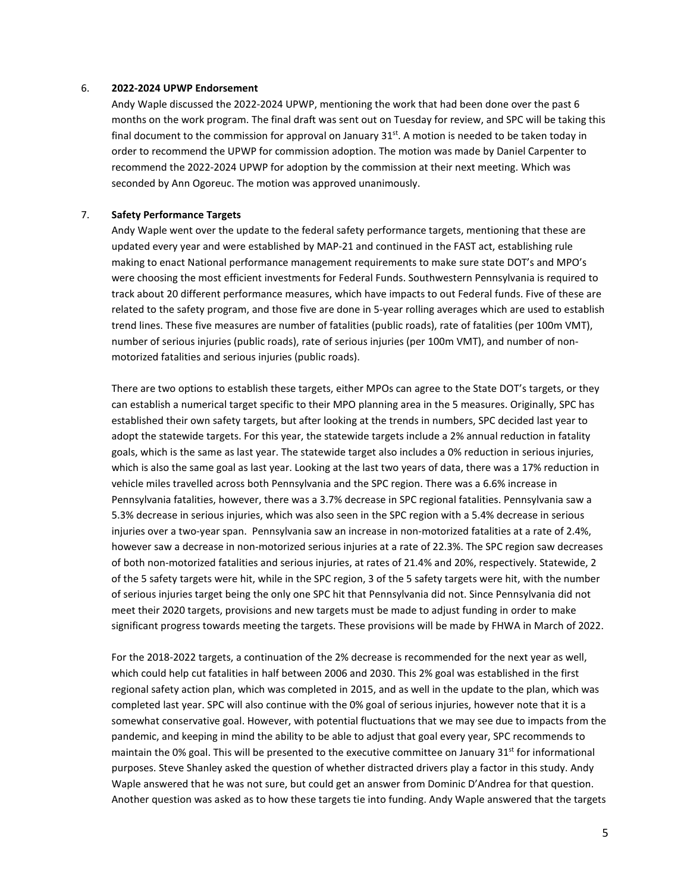#### 6. **2022-2024 UPWP Endorsement**

Andy Waple discussed the 2022-2024 UPWP, mentioning the work that had been done over the past 6 months on the work program. The final draft was sent out on Tuesday for review, and SPC will be taking this final document to the commission for approval on January  $31<sup>st</sup>$ . A motion is needed to be taken today in order to recommend the UPWP for commission adoption. The motion was made by Daniel Carpenter to recommend the 2022-2024 UPWP for adoption by the commission at their next meeting. Which was seconded by Ann Ogoreuc. The motion was approved unanimously.

#### 7. **Safety Performance Targets**

Andy Waple went over the update to the federal safety performance targets, mentioning that these are updated every year and were established by MAP-21 and continued in the FAST act, establishing rule making to enact National performance management requirements to make sure state DOT's and MPO's were choosing the most efficient investments for Federal Funds. Southwestern Pennsylvania is required to track about 20 different performance measures, which have impacts to out Federal funds. Five of these are related to the safety program, and those five are done in 5-year rolling averages which are used to establish trend lines. These five measures are number of fatalities (public roads), rate of fatalities (per 100m VMT), number of serious injuries (public roads), rate of serious injuries (per 100m VMT), and number of nonmotorized fatalities and serious injuries (public roads).

There are two options to establish these targets, either MPOs can agree to the State DOT's targets, or they can establish a numerical target specific to their MPO planning area in the 5 measures. Originally, SPC has established their own safety targets, but after looking at the trends in numbers, SPC decided last year to adopt the statewide targets. For this year, the statewide targets include a 2% annual reduction in fatality goals, which is the same as last year. The statewide target also includes a 0% reduction in serious injuries, which is also the same goal as last year. Looking at the last two years of data, there was a 17% reduction in vehicle miles travelled across both Pennsylvania and the SPC region. There was a 6.6% increase in Pennsylvania fatalities, however, there was a 3.7% decrease in SPC regional fatalities. Pennsylvania saw a 5.3% decrease in serious injuries, which was also seen in the SPC region with a 5.4% decrease in serious injuries over a two-year span. Pennsylvania saw an increase in non-motorized fatalities at a rate of 2.4%, however saw a decrease in non-motorized serious injuries at a rate of 22.3%. The SPC region saw decreases of both non-motorized fatalities and serious injuries, at rates of 21.4% and 20%, respectively. Statewide, 2 of the 5 safety targets were hit, while in the SPC region, 3 of the 5 safety targets were hit, with the number of serious injuries target being the only one SPC hit that Pennsylvania did not. Since Pennsylvania did not meet their 2020 targets, provisions and new targets must be made to adjust funding in order to make significant progress towards meeting the targets. These provisions will be made by FHWA in March of 2022.

For the 2018-2022 targets, a continuation of the 2% decrease is recommended for the next year as well, which could help cut fatalities in half between 2006 and 2030. This 2% goal was established in the first regional safety action plan, which was completed in 2015, and as well in the update to the plan, which was completed last year. SPC will also continue with the 0% goal of serious injuries, however note that it is a somewhat conservative goal. However, with potential fluctuations that we may see due to impacts from the pandemic, and keeping in mind the ability to be able to adjust that goal every year, SPC recommends to maintain the 0% goal. This will be presented to the executive committee on January  $31<sup>st</sup>$  for informational purposes. Steve Shanley asked the question of whether distracted drivers play a factor in this study. Andy Waple answered that he was not sure, but could get an answer from Dominic D'Andrea for that question. Another question was asked as to how these targets tie into funding. Andy Waple answered that the targets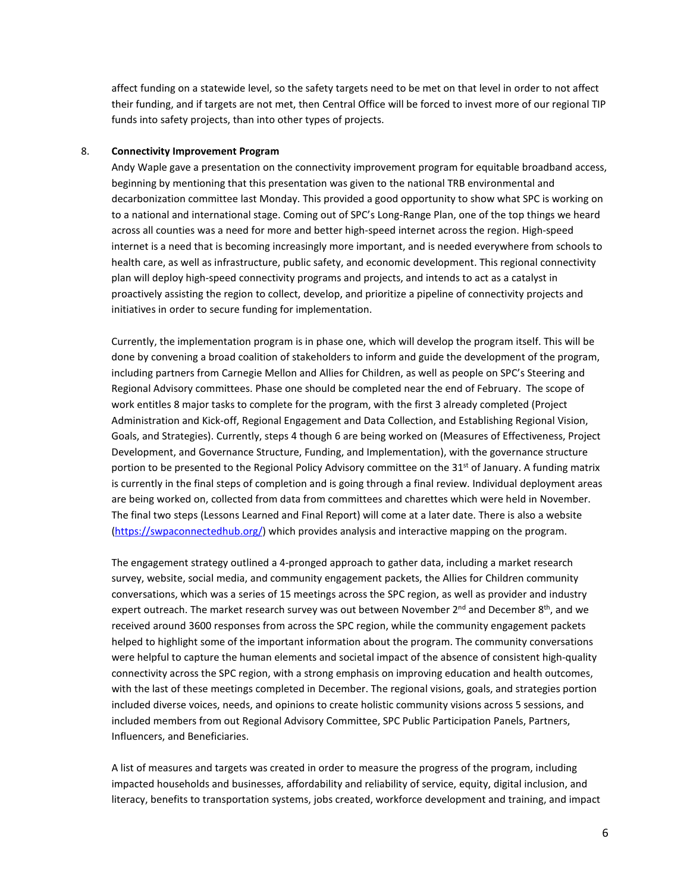affect funding on a statewide level, so the safety targets need to be met on that level in order to not affect their funding, and if targets are not met, then Central Office will be forced to invest more of our regional TIP funds into safety projects, than into other types of projects.

#### 8. **Connectivity Improvement Program**

Andy Waple gave a presentation on the connectivity improvement program for equitable broadband access, beginning by mentioning that this presentation was given to the national TRB environmental and decarbonization committee last Monday. This provided a good opportunity to show what SPC is working on to a national and international stage. Coming out of SPC's Long-Range Plan, one of the top things we heard across all counties was a need for more and better high-speed internet across the region. High-speed internet is a need that is becoming increasingly more important, and is needed everywhere from schools to health care, as well as infrastructure, public safety, and economic development. This regional connectivity plan will deploy high-speed connectivity programs and projects, and intends to act as a catalyst in proactively assisting the region to collect, develop, and prioritize a pipeline of connectivity projects and initiatives in order to secure funding for implementation.

Currently, the implementation program is in phase one, which will develop the program itself. This will be done by convening a broad coalition of stakeholders to inform and guide the development of the program, including partners from Carnegie Mellon and Allies for Children, as well as people on SPC's Steering and Regional Advisory committees. Phase one should be completed near the end of February. The scope of work entitles 8 major tasks to complete for the program, with the first 3 already completed (Project Administration and Kick-off, Regional Engagement and Data Collection, and Establishing Regional Vision, Goals, and Strategies). Currently, steps 4 though 6 are being worked on (Measures of Effectiveness, Project Development, and Governance Structure, Funding, and Implementation), with the governance structure portion to be presented to the Regional Policy Advisory committee on the 31<sup>st</sup> of January. A funding matrix is currently in the final steps of completion and is going through a final review. Individual deployment areas are being worked on, collected from data from committees and charettes which were held in November. The final two steps (Lessons Learned and Final Report) will come at a later date. There is also a website [\(https://swpaconnectedhub.org/\)](https://swpaconnectedhub.org/) which provides analysis and interactive mapping on the program.

The engagement strategy outlined a 4-pronged approach to gather data, including a market research survey, website, social media, and community engagement packets, the Allies for Children community conversations, which was a series of 15 meetings across the SPC region, as well as provider and industry expert outreach. The market research survey was out between November  $2^{nd}$  and December  $8^{th}$ , and we received around 3600 responses from across the SPC region, while the community engagement packets helped to highlight some of the important information about the program. The community conversations were helpful to capture the human elements and societal impact of the absence of consistent high-quality connectivity across the SPC region, with a strong emphasis on improving education and health outcomes, with the last of these meetings completed in December. The regional visions, goals, and strategies portion included diverse voices, needs, and opinions to create holistic community visions across 5 sessions, and included members from out Regional Advisory Committee, SPC Public Participation Panels, Partners, Influencers, and Beneficiaries.

A list of measures and targets was created in order to measure the progress of the program, including impacted households and businesses, affordability and reliability of service, equity, digital inclusion, and literacy, benefits to transportation systems, jobs created, workforce development and training, and impact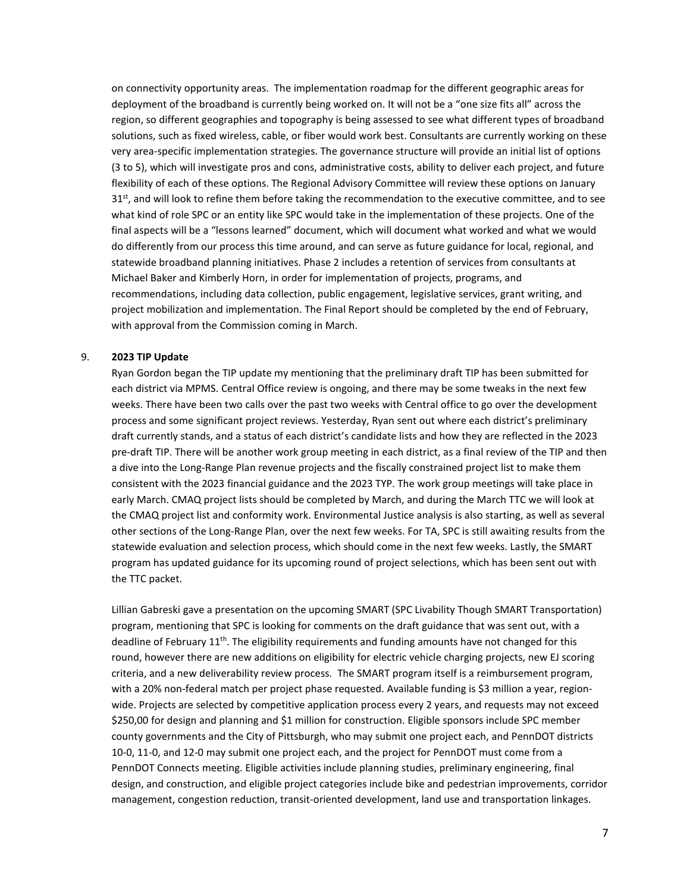on connectivity opportunity areas. The implementation roadmap for the different geographic areas for deployment of the broadband is currently being worked on. It will not be a "one size fits all" across the region, so different geographies and topography is being assessed to see what different types of broadband solutions, such as fixed wireless, cable, or fiber would work best. Consultants are currently working on these very area-specific implementation strategies. The governance structure will provide an initial list of options (3 to 5), which will investigate pros and cons, administrative costs, ability to deliver each project, and future flexibility of each of these options. The Regional Advisory Committee will review these options on January  $31<sup>st</sup>$ , and will look to refine them before taking the recommendation to the executive committee, and to see what kind of role SPC or an entity like SPC would take in the implementation of these projects. One of the final aspects will be a "lessons learned" document, which will document what worked and what we would do differently from our process this time around, and can serve as future guidance for local, regional, and statewide broadband planning initiatives. Phase 2 includes a retention of services from consultants at Michael Baker and Kimberly Horn, in order for implementation of projects, programs, and recommendations, including data collection, public engagement, legislative services, grant writing, and project mobilization and implementation. The Final Report should be completed by the end of February, with approval from the Commission coming in March.

#### 9. **2023 TIP Update**

Ryan Gordon began the TIP update my mentioning that the preliminary draft TIP has been submitted for each district via MPMS. Central Office review is ongoing, and there may be some tweaks in the next few weeks. There have been two calls over the past two weeks with Central office to go over the development process and some significant project reviews. Yesterday, Ryan sent out where each district's preliminary draft currently stands, and a status of each district's candidate lists and how they are reflected in the 2023 pre-draft TIP. There will be another work group meeting in each district, as a final review of the TIP and then a dive into the Long-Range Plan revenue projects and the fiscally constrained project list to make them consistent with the 2023 financial guidance and the 2023 TYP. The work group meetings will take place in early March. CMAQ project lists should be completed by March, and during the March TTC we will look at the CMAQ project list and conformity work. Environmental Justice analysis is also starting, as well as several other sections of the Long-Range Plan, over the next few weeks. For TA, SPC is still awaiting results from the statewide evaluation and selection process, which should come in the next few weeks. Lastly, the SMART program has updated guidance for its upcoming round of project selections, which has been sent out with the TTC packet.

Lillian Gabreski gave a presentation on the upcoming SMART (SPC Livability Though SMART Transportation) program, mentioning that SPC is looking for comments on the draft guidance that was sent out, with a deadline of February 11<sup>th</sup>. The eligibility requirements and funding amounts have not changed for this round, however there are new additions on eligibility for electric vehicle charging projects, new EJ scoring criteria, and a new deliverability review process. The SMART program itself is a reimbursement program, with a 20% non-federal match per project phase requested. Available funding is \$3 million a year, regionwide. Projects are selected by competitive application process every 2 years, and requests may not exceed \$250,00 for design and planning and \$1 million for construction. Eligible sponsors include SPC member county governments and the City of Pittsburgh, who may submit one project each, and PennDOT districts 10-0, 11-0, and 12-0 may submit one project each, and the project for PennDOT must come from a PennDOT Connects meeting. Eligible activities include planning studies, preliminary engineering, final design, and construction, and eligible project categories include bike and pedestrian improvements, corridor management, congestion reduction, transit-oriented development, land use and transportation linkages.